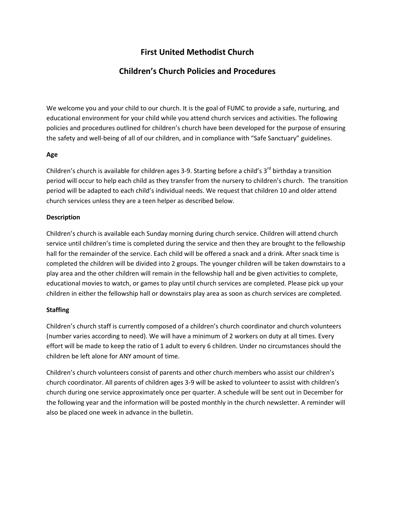# **First United Methodist Church**

# **Children's Church Policies and Procedures**

We welcome you and your child to our church. It is the goal of FUMC to provide a safe, nurturing, and educational environment for your child while you attend church services and activities. The following policies and procedures outlined for children's church have been developed for the purpose of ensuring the safety and well-being of all of our children, and in compliance with "Safe Sanctuary" guidelines.

# **Age**

Children's church is available for children ages 3-9. Starting before a child's 3<sup>rd</sup> birthday a transition period will occur to help each child as they transfer from the nursery to children's church. The transition period will be adapted to each child's individual needs. We request that children 10 and older attend church services unless they are a teen helper as described below.

# **Description**

Children's church is available each Sunday morning during church service. Children will attend church service until children's time is completed during the service and then they are brought to the fellowship hall for the remainder of the service. Each child will be offered a snack and a drink. After snack time is completed the children will be divided into 2 groups. The younger children will be taken downstairs to a play area and the other children will remain in the fellowship hall and be given activities to complete, educational movies to watch, or games to play until church services are completed. Please pick up your children in either the fellowship hall or downstairs play area as soon as church services are completed.

# **Staffing**

Children's church staff is currently composed of a children's church coordinator and church volunteers (number varies according to need). We will have a minimum of 2 workers on duty at all times. Every effort will be made to keep the ratio of 1 adult to every 6 children. Under no circumstances should the children be left alone for ANY amount of time.

Children's church volunteers consist of parents and other church members who assist our children's church coordinator. All parents of children ages 3-9 will be asked to volunteer to assist with children's church during one service approximately once per quarter. A schedule will be sent out in December for the following year and the information will be posted monthly in the church newsletter. A reminder will also be placed one week in advance in the bulletin.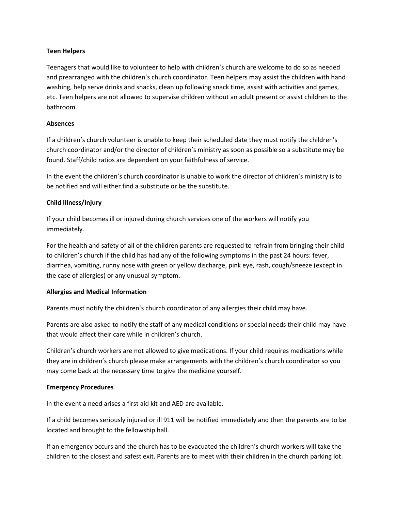# **Teen Helpers**

Teenagers that would like to volunteer to help with children's church are welcome to do so as needed and prearranged with the children's church coordinator. Teen helpers may assist the children with hand washing, help serve drinks and snacks, clean up following snack time, assist with activities and games, etc. Teen helpers are not allowed to supervise children without an adult present or assist children to the bathroom.

# **Absences**

If a children's church volunteer is unable to keep their scheduled date they must notify the children's church coordinator and/or the director of children's ministry as soon as possible so a substitute may be found. Staff/child ratios are dependent on your faithfulness of service.

In the event the children's church coordinator is unable to work the director of children's ministry is to be notified and will either find a substitute or be the substitute.

# **Child Illness/Injury**

If your child becomes ill or injured during church services one of the workers will notify you immediately.

For the health and safety of all of the children parents are requested to refrain from bringing their child to children's church if the child has had any of the following symptoms in the past 24 hours: fever, diarrhea, vomiting, runny nose with green or yellow discharge, pink eye, rash, cough/sneeze (except in the case of allergies) or any unusual symptom.

# **Allergies and Medical Information**

Parents must notify the children's church coordinator of any allergies their child may have.

Parents are also asked to notify the staff of any medical conditions or special needs their child may have that would affect their care while in children's church.

Children's church workers are not allowed to give medications. If your child requires medications while they are in children's church please make arrangements with the children's church coordinator so you may come back at the necessary time to give the medicine yourself.

# **Emergency Procedures**

In the event a need arises a first aid kit and AED are available.

If a child becomes seriously injured or ill 911 will be notified immediately and then the parents are to be located and brought to the fellowship hall.

If an emergency occurs and the church has to be evacuated the children's church workers will take the children to the closest and safest exit. Parents are to meet with their children in the church parking lot.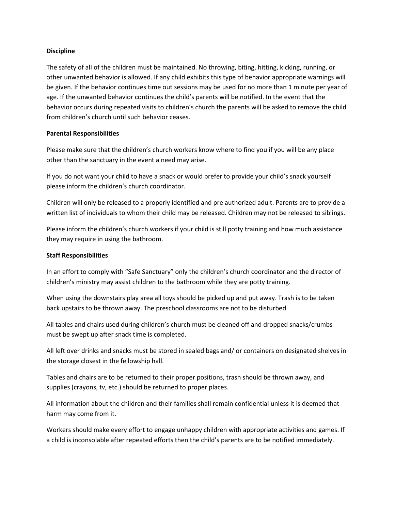# **Discipline**

The safety of all of the children must be maintained. No throwing, biting, hitting, kicking, running, or other unwanted behavior is allowed. If any child exhibits this type of behavior appropriate warnings will be given. If the behavior continues time out sessions may be used for no more than 1 minute per year of age. If the unwanted behavior continues the child's parents will be notified. In the event that the behavior occurs during repeated visits to children's church the parents will be asked to remove the child from children's church until such behavior ceases.

# **Parental Responsibilities**

Please make sure that the children's church workers know where to find you if you will be any place other than the sanctuary in the event a need may arise.

If you do not want your child to have a snack or would prefer to provide your child's snack yourself please inform the children's church coordinator.

Children will only be released to a properly identified and pre authorized adult. Parents are to provide a written list of individuals to whom their child may be released. Children may not be released to siblings.

Please inform the children's church workers if your child is still potty training and how much assistance they may require in using the bathroom.

# **Staff Responsibilities**

In an effort to comply with "Safe Sanctuary" only the children's church coordinator and the director of children's ministry may assist children to the bathroom while they are potty training.

When using the downstairs play area all toys should be picked up and put away. Trash is to be taken back upstairs to be thrown away. The preschool classrooms are not to be disturbed.

All tables and chairs used during children's church must be cleaned off and dropped snacks/crumbs must be swept up after snack time is completed.

All left over drinks and snacks must be stored in sealed bags and/ or containers on designated shelves in the storage closest in the fellowship hall.

Tables and chairs are to be returned to their proper positions, trash should be thrown away, and supplies (crayons, tv, etc.) should be returned to proper places.

All information about the children and their families shall remain confidential unless it is deemed that harm may come from it.

Workers should make every effort to engage unhappy children with appropriate activities and games. If a child is inconsolable after repeated efforts then the child's parents are to be notified immediately.